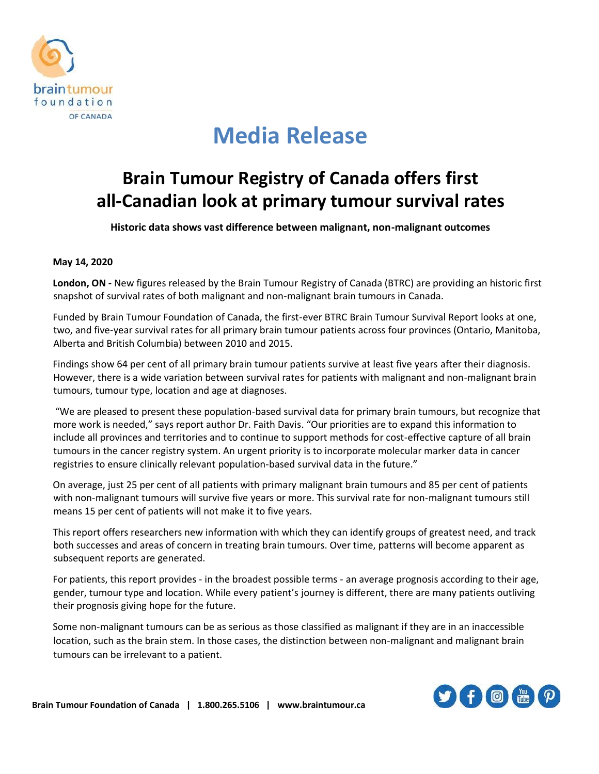

# **Media Release**

### **Brain Tumour Registry of Canada offers first all-Canadian look at primary tumour survival rates**

**Historic data shows vast difference between malignant, non-malignant outcomes**

#### **May 14, 2020**

**London, ON -** New figures released by the Brain Tumour Registry of Canada (BTRC) are providing an historic first snapshot of survival rates of both malignant and non-malignant brain tumours in Canada.

Funded by Brain Tumour Foundation of Canada, the first-ever BTRC Brain Tumour Survival Report looks at one, two, and five-year survival rates for all primary brain tumour patients across four provinces (Ontario, Manitoba, Alberta and British Columbia) between 2010 and 2015.

Findings show 64 per cent of all primary brain tumour patients survive at least five years after their diagnosis. However, there is a wide variation between survival rates for patients with malignant and non-malignant brain tumours, tumour type, location and age at diagnoses.

"We are pleased to present these population-based survival data for primary brain tumours, but recognize that more work is needed," says report author Dr. Faith Davis. "Our priorities are to expand this information to include all provinces and territories and to continue to support methods for cost-effective capture of all brain tumours in the cancer registry system. An urgent priority is to incorporate molecular marker data in cancer registries to ensure clinically relevant population-based survival data in the future."

On average, just 25 per cent of all patients with primary malignant brain tumours and 85 per cent of patients with non-malignant tumours will survive five years or more. This survival rate for non-malignant tumours still means 15 per cent of patients will not make it to five years.

This report offers researchers new information with which they can identify groups of greatest need, and track both successes and areas of concern in treating brain tumours. Over time, patterns will become apparent as subsequent reports are generated.

For patients, this report provides - in the broadest possible terms - an average prognosis according to their age, gender, tumour type and location. While every patient's journey is different, there are many patients outliving their prognosis giving hope for the future.

Some non-malignant tumours can be as serious as those classified as malignant if they are in an inaccessible location, such as the brain stem. In those cases, the distinction between non-malignant and malignant brain tumours can be irrelevant to a patient.

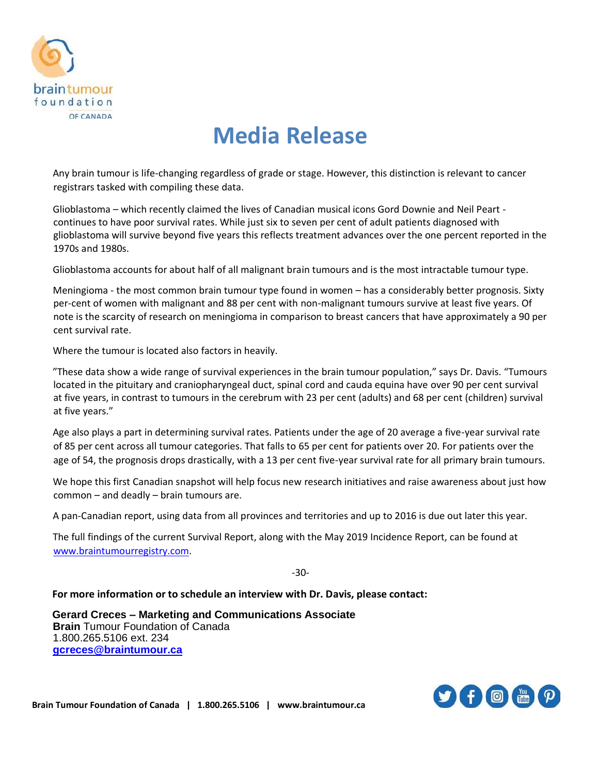

# **Media Release**

Any brain tumour is life-changing regardless of grade or stage. However, this distinction is relevant to cancer registrars tasked with compiling these data.

Glioblastoma – which recently claimed the lives of Canadian musical icons Gord Downie and Neil Peart continues to have poor survival rates. While just six to seven per cent of adult patients diagnosed with glioblastoma will survive beyond five years this reflects treatment advances over the one percent reported in the 1970s and 1980s.

Glioblastoma accounts for about half of all malignant brain tumours and is the most intractable tumour type.

Meningioma - the most common brain tumour type found in women – has a considerably better prognosis. Sixty per-cent of women with malignant and 88 per cent with non-malignant tumours survive at least five years. Of note is the scarcity of research on meningioma in comparison to breast cancers that have approximately a 90 per cent survival rate.

Where the tumour is located also factors in heavily.

"These data show a wide range of survival experiences in the brain tumour population," says Dr. Davis. "Tumours located in the pituitary and craniopharyngeal duct, spinal cord and cauda equina have over 90 per cent survival at five years, in contrast to tumours in the cerebrum with 23 per cent (adults) and 68 per cent (children) survival at five years."

Age also plays a part in determining survival rates. Patients under the age of 20 average a five-year survival rate of 85 per cent across all tumour categories. That falls to 65 per cent for patients over 20. For patients over the age of 54, the prognosis drops drastically, with a 13 per cent five-year survival rate for all primary brain tumours.

We hope this first Canadian snapshot will help focus new research initiatives and raise awareness about just how common – and deadly – brain tumours are.

A pan-Canadian report, using data from all provinces and territories and up to 2016 is due out later this year.

The full findings of the current Survival Report, along with the May 2019 Incidence Report, can be found at [www.braintumourregistry.com.](http://www.braintumourregistry.com/)

-30-

**For more information or to schedule an interview with Dr. Davis, please contact:** 

**Gerard Creces – Marketing and Communications Associate Brain** Tumour Foundation of Canada 1.800.265.5106 ext. 234 **[gcreces@braintumour.ca](mailto:gcreces@braintumour.ca)**